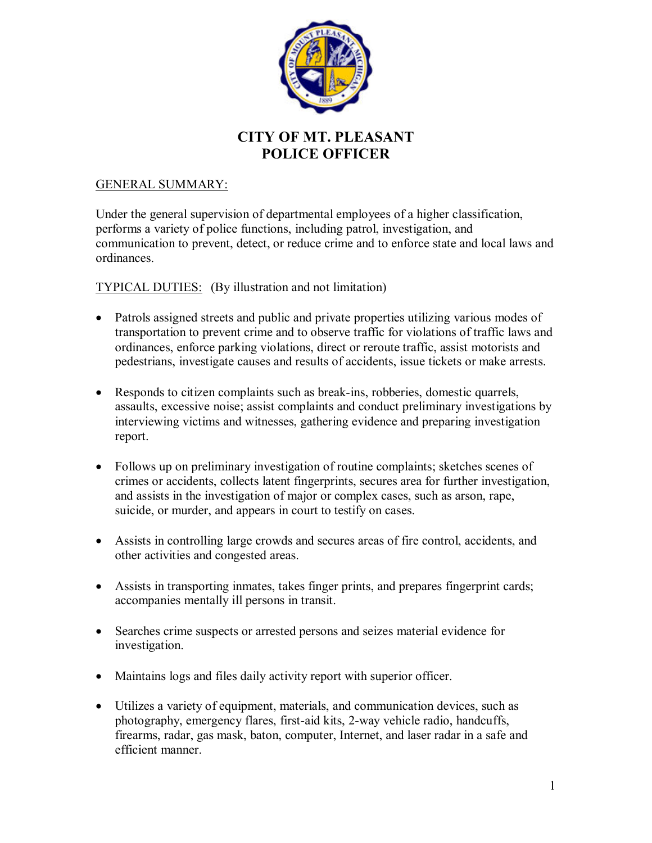

## **CITY OF MT. PLEASANT POLICE OFFICER**

#### GENERAL SUMMARY:

Under the general supervision of departmental employees of a higher classification, performs a variety of police functions, including patrol, investigation, and communication to prevent, detect, or reduce crime and to enforce state and local laws and ordinances.

#### TYPICAL DUTIES: (By illustration and not limitation)

- Patrols assigned streets and public and private properties utilizing various modes of transportation to prevent crime and to observe traffic for violations of traffic laws and ordinances, enforce parking violations, direct or reroute traffic, assist motorists and pedestrians, investigate causes and results of accidents, issue tickets or make arrests.
- Responds to citizen complaints such as break-ins, robberies, domestic quarrels, assaults, excessive noise; assist complaints and conduct preliminary investigations by interviewing victims and witnesses, gathering evidence and preparing investigation report.
- Follows up on preliminary investigation of routine complaints; sketches scenes of crimes or accidents, collects latent fingerprints, secures area for further investigation, and assists in the investigation of major or complex cases, such as arson, rape, suicide, or murder, and appears in court to testify on cases.
- Assists in controlling large crowds and secures areas of fire control, accidents, and other activities and congested areas.
- Assists in transporting inmates, takes finger prints, and prepares fingerprint cards; accompanies mentally ill persons in transit.
- Searches crime suspects or arrested persons and seizes material evidence for investigation.
- Maintains logs and files daily activity report with superior officer.
- Utilizes a variety of equipment, materials, and communication devices, such as photography, emergency flares, first-aid kits, 2-way vehicle radio, handcuffs, firearms, radar, gas mask, baton, computer, Internet, and laser radar in a safe and efficient manner.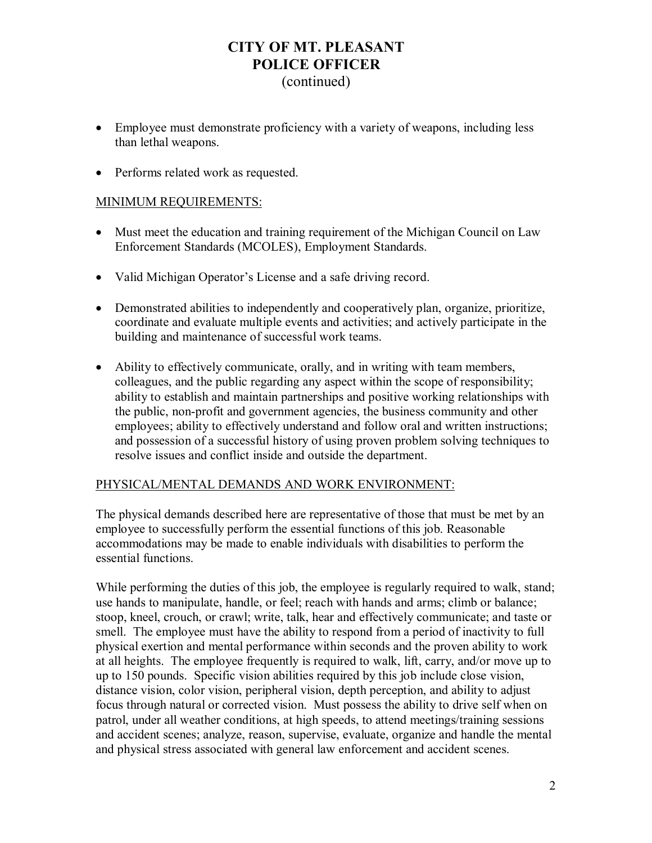# **CITY OF MT. PLEASANT POLICE OFFICER**

### (continued)

- Employee must demonstrate proficiency with a variety of weapons, including less than lethal weapons.
- Performs related work as requested.

#### MINIMUM REQUIREMENTS:

- Must meet the education and training requirement of the Michigan Council on Law Enforcement Standards (MCOLES), Employment Standards.
- Valid Michigan Operator's License and a safe driving record.
- Demonstrated abilities to independently and cooperatively plan, organize, prioritize, coordinate and evaluate multiple events and activities; and actively participate in the building and maintenance of successful work teams.
- Ability to effectively communicate, orally, and in writing with team members, colleagues, and the public regarding any aspect within the scope of responsibility; ability to establish and maintain partnerships and positive working relationships with the public, non-profit and government agencies, the business community and other employees; ability to effectively understand and follow oral and written instructions; and possession of a successful history of using proven problem solving techniques to resolve issues and conflict inside and outside the department.

#### PHYSICAL/MENTAL DEMANDS AND WORK ENVIRONMENT:

The physical demands described here are representative of those that must be met by an employee to successfully perform the essential functions of this job. Reasonable accommodations may be made to enable individuals with disabilities to perform the essential functions.

While performing the duties of this job, the employee is regularly required to walk, stand; use hands to manipulate, handle, or feel; reach with hands and arms; climb or balance; stoop, kneel, crouch, or crawl; write, talk, hear and effectively communicate; and taste or smell. The employee must have the ability to respond from a period of inactivity to full physical exertion and mental performance within seconds and the proven ability to work at all heights. The employee frequently is required to walk, lift, carry, and/or move up to up to 150 pounds. Specific vision abilities required by this job include close vision, distance vision, color vision, peripheral vision, depth perception, and ability to adjust focus through natural or corrected vision. Must possess the ability to drive self when on patrol, under all weather conditions, at high speeds, to attend meetings/training sessions and accident scenes; analyze, reason, supervise, evaluate, organize and handle the mental and physical stress associated with general law enforcement and accident scenes.